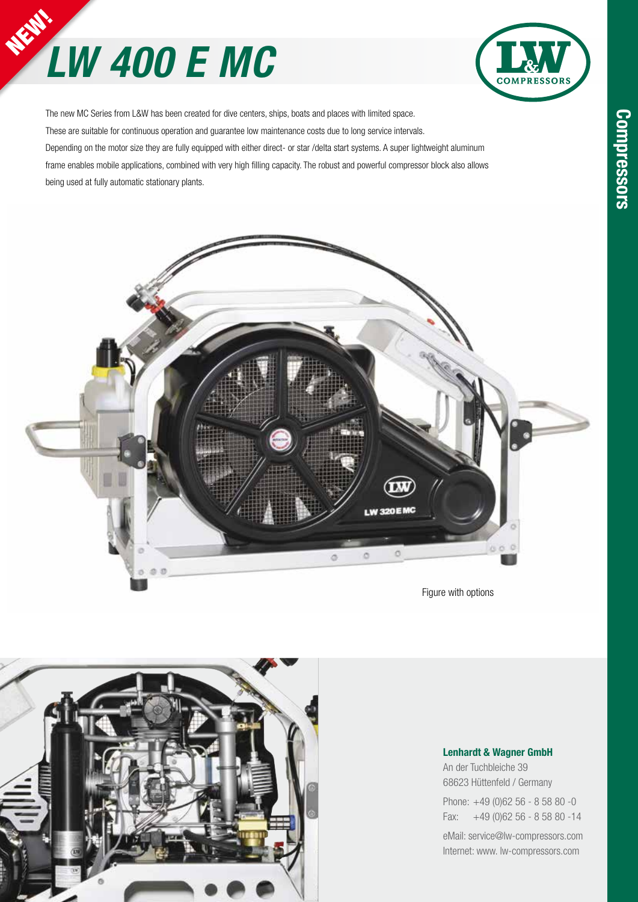# **LW 400 E MC**



The new MC Series from L&W has been created for dive centers, ships, boats and places with limited space. These are suitable for continuous operation and guarantee low maintenance costs due to long service intervals. Depending on the motor size they are fully equipped with either direct- or star /delta start systems. A super lightweight aluminum frame enables mobile applications, combined with very high filling capacity. The robust and powerful compressor block also allows being used at fully automatic stationary plants.



Figure with options



#### **Lenhardt & Wagner GmbH**

An der Tuchbleiche 39 68623 Hüttenfeld / Germany

Phone: +49 (0)62 56 - 8 58 80 -0 Fax: +49 (0)62 56 - 8 58 80 -14

eMail: service@lw-compressors.com Internet: www. lw-compressors.com